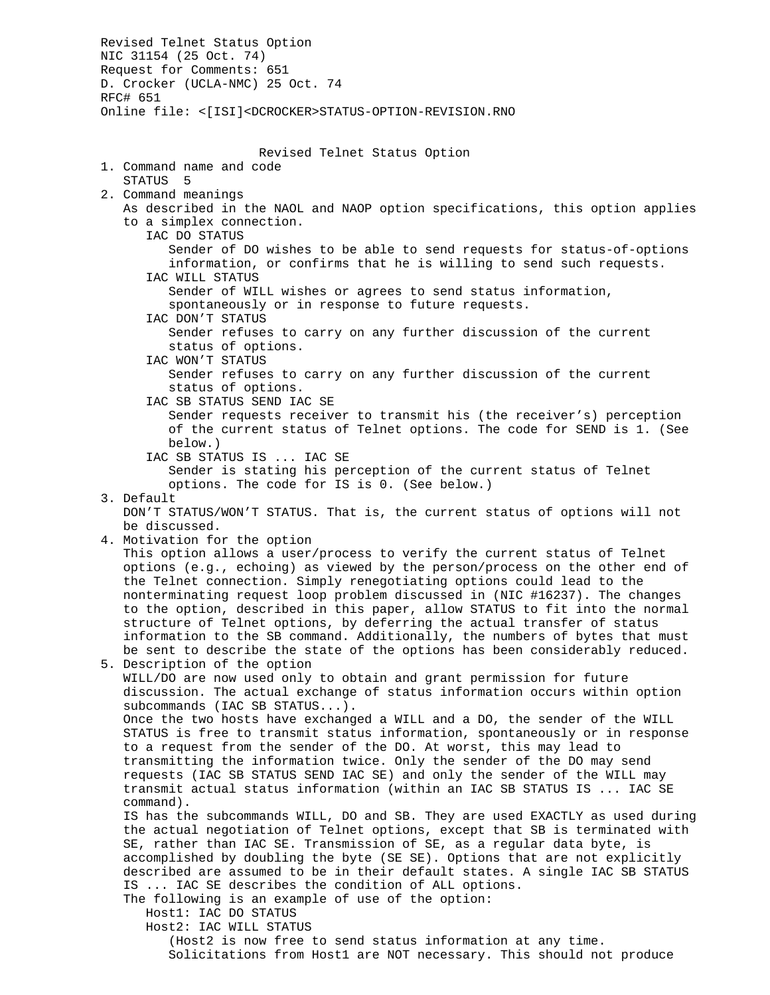Revised Telnet Status Option NIC 31154 (25 Oct. 74) Request for Comments: 651 D. Crocker (UCLA-NMC) 25 Oct. 74 RFC# 651 Online file: <[ISI]<DCROCKER>STATUS-OPTION-REVISION.RNO Revised Telnet Status Option 1. Command name and code STATUS 5 2. Command meanings As described in the NAOL and NAOP option specifications, this option applies to a simplex connection. IAC DO STATUS Sender of DO wishes to be able to send requests for status-of-options information, or confirms that he is willing to send such requests. IAC WILL STATUS Sender of WILL wishes or agrees to send status information, spontaneously or in response to future requests. IAC DON'T STATUS Sender refuses to carry on any further discussion of the current status of options. IAC WON'T STATUS Sender refuses to carry on any further discussion of the current status of options. IAC SB STATUS SEND IAC SE Sender requests receiver to transmit his (the receiver's) perception of the current status of Telnet options. The code for SEND is 1. (See below.) IAC SB STATUS IS ... IAC SE Sender is stating his perception of the current status of Telnet options. The code for IS is 0. (See below.) 3. Default DON'T STATUS/WON'T STATUS. That is, the current status of options will not be discussed. 4. Motivation for the option This option allows a user/process to verify the current status of Telnet options (e.g., echoing) as viewed by the person/process on the other end of the Telnet connection. Simply renegotiating options could lead to the nonterminating request loop problem discussed in (NIC #16237). The changes to the option, described in this paper, allow STATUS to fit into the normal structure of Telnet options, by deferring the actual transfer of status information to the SB command. Additionally, the numbers of bytes that must be sent to describe the state of the options has been considerably reduced. 5. Description of the option WILL/DO are now used only to obtain and grant permission for future discussion. The actual exchange of status information occurs within option subcommands (IAC SB STATUS...). Once the two hosts have exchanged a WILL and a DO, the sender of the WILL STATUS is free to transmit status information, spontaneously or in response to a request from the sender of the DO. At worst, this may lead to transmitting the information twice. Only the sender of the DO may send requests (IAC SB STATUS SEND IAC SE) and only the sender of the WILL may transmit actual status information (within an IAC SB STATUS IS ... IAC SE command). IS has the subcommands WILL, DO and SB. They are used EXACTLY as used during the actual negotiation of Telnet options, except that SB is terminated with SE, rather than IAC SE. Transmission of SE, as a regular data byte, is accomplished by doubling the byte (SE SE). Options that are not explicitly described are assumed to be in their default states. A single IAC SB STATUS IS ... IAC SE describes the condition of ALL options. The following is an example of use of the option: Host1: IAC DO STATUS Host2: IAC WILL STATUS (Host2 is now free to send status information at any time. Solicitations from Host1 are NOT necessary. This should not produce